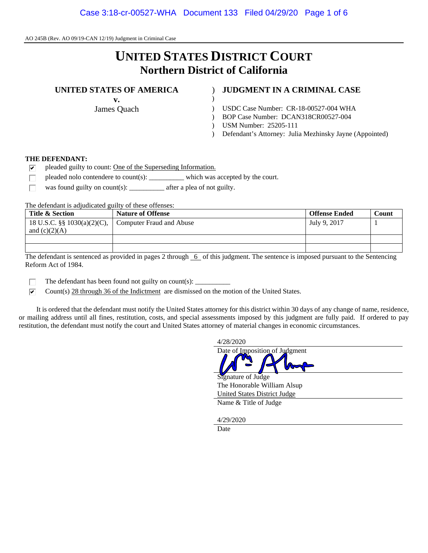# **UNITED STATES DISTRICT COURT Northern District of California**

#### **UNITED STATES OF AMERICA** ) **JUDGMENT IN A CRIMINAL CASE**

**v.** )

- James Quach (1992) USDC Case Number: CR-18-00527-004 WHA
	- ) BOP Case Number: DCAN318CR00527-004
	- ) USM Number: 25205-111
	- ) Defendant's Attorney: Julia Mezhinsky Jayne (Appointed)

#### **THE DEFENDANT:**

- ⊽ pleaded guilty to count: One of the Superseding Information.
- pleaded nolo contendere to count(s): which was accepted by the court. П
- was found guilty on count(s): \_\_\_\_\_\_\_\_\_\_\_\_ after a plea of not guilty. П

The defendant is adjudicated guilty of these offenses:

| Title & Section             | <b>Nature of Offense</b> | <b>Offense Ended</b> | Count |
|-----------------------------|--------------------------|----------------------|-------|
| 18 U.S.C. §§ 1030(a)(2)(C), | Computer Fraud and Abuse | July 9, 2017         |       |
| and $(c)(2)(A)$             |                          |                      |       |
|                             |                          |                      |       |
|                             |                          |                      |       |

The defendant is sentenced as provided in pages  $2$  through  $6$  of this judgment. The sentence is imposed pursuant to the Sentencing Reform Act of 1984.

п The defendant has been found not guilty on count(s):  $\frac{1}{\sqrt{2\pi}}$ 

 $\overline{\mathbf{v}}$ Count(s) 28 through 36 of the Indictment are dismissed on the motion of the United States.

 It is ordered that the defendant must notify the United States attorney for this district within 30 days of any change of name, residence, or mailing address until all fines, restitution, costs, and special assessments imposed by this judgment are fully paid. If ordered to pay restitution, the defendant must notify the court and United States attorney of material changes in economic circumstances.



**Date**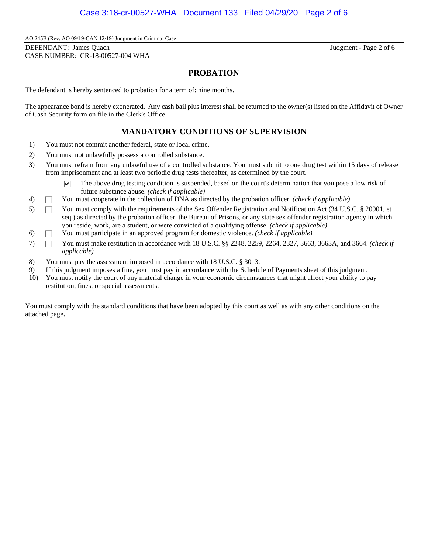DEFENDANT: James Quach Judgment - Page 2 of 6 CASE NUMBER: CR-18-00527-004 WHA

### **PROBATION**

The defendant is hereby sentenced to probation for a term of: nine months.

The appearance bond is hereby exonerated. Any cash bail plus interest shall be returned to the owner(s) listed on the Affidavit of Owner of Cash Security form on file in the Clerk's Office.

# **MANDATORY CONDITIONS OF SUPERVISION**

- 1) You must not commit another federal, state or local crime.
- 2) You must not unlawfully possess a controlled substance.
- 3) You must refrain from any unlawful use of a controlled substance. You must submit to one drug test within 15 days of release from imprisonment and at least two periodic drug tests thereafter, as determined by the court.
	- $\triangledown$  The above drug testing condition is suspended, based on the court's determination that you pose a low risk of future substance abuse. *(check if applicable)*
- 4) You must cooperate in the collection of DNA as directed by the probation officer. *(check if applicable)*
- 5) T You must comply with the requirements of the Sex Offender Registration and Notification Act (34 U.S.C. § 20901, et seq.) as directed by the probation officer, the Bureau of Prisons, or any state sex offender registration agency in which you reside, work, are a student, or were convicted of a qualifying offense. *(check if applicable)*
- 6) You must participate in an approved program for domestic violence. *(check if applicable)*
- 7) You must make restitution in accordance with 18 U.S.C. §§ 2248, 2259, 2264, 2327, 3663, 3663A, and 3664. *(check if applicable)*
- 8) You must pay the assessment imposed in accordance with 18 U.S.C. § 3013.
- 9) If this judgment imposes a fine, you must pay in accordance with the Schedule of Payments sheet of this judgment.
- 10) You must notify the court of any material change in your economic circumstances that might affect your ability to pay restitution, fines, or special assessments.

You must comply with the standard conditions that have been adopted by this court as well as with any other conditions on the attached page**.**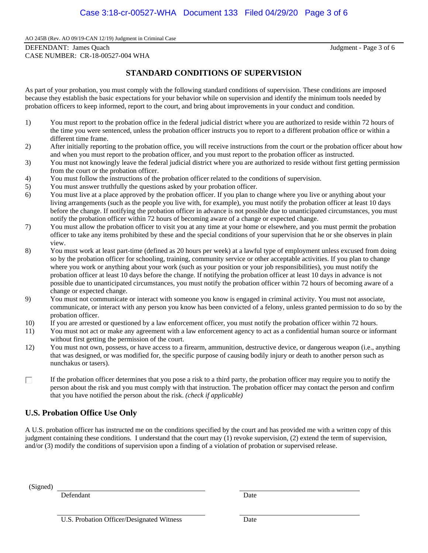DEFENDANT: James Quach Judgment - Page 3 of 6 CASE NUMBER: CR-18-00527-004 WHA

# **STANDARD CONDITIONS OF SUPERVISION**

As part of your probation, you must comply with the following standard conditions of supervision. These conditions are imposed because they establish the basic expectations for your behavior while on supervision and identify the minimum tools needed by probation officers to keep informed, report to the court, and bring about improvements in your conduct and condition.

- 1) You must report to the probation office in the federal judicial district where you are authorized to reside within 72 hours of the time you were sentenced, unless the probation officer instructs you to report to a different probation office or within a different time frame.
- 2) After initially reporting to the probation office, you will receive instructions from the court or the probation officer about how and when you must report to the probation officer, and you must report to the probation officer as instructed.
- 3) You must not knowingly leave the federal judicial district where you are authorized to reside without first getting permission from the court or the probation officer.
- 4) You must follow the instructions of the probation officer related to the conditions of supervision.
- 5) You must answer truthfully the questions asked by your probation officer.
- 6) You must live at a place approved by the probation officer. If you plan to change where you live or anything about your living arrangements (such as the people you live with, for example), you must notify the probation officer at least 10 days before the change. If notifying the probation officer in advance is not possible due to unanticipated circumstances, you must notify the probation officer within 72 hours of becoming aware of a change or expected change.
- 7) You must allow the probation officer to visit you at any time at your home or elsewhere, and you must permit the probation officer to take any items prohibited by these and the special conditions of your supervision that he or she observes in plain view.
- 8) You must work at least part-time (defined as 20 hours per week) at a lawful type of employment unless excused from doing so by the probation officer for schooling, training, community service or other acceptable activities. If you plan to change where you work or anything about your work (such as your position or your job responsibilities), you must notify the probation officer at least 10 days before the change. If notifying the probation officer at least 10 days in advance is not possible due to unanticipated circumstances, you must notify the probation officer within 72 hours of becoming aware of a change or expected change.
- 9) You must not communicate or interact with someone you know is engaged in criminal activity. You must not associate, communicate, or interact with any person you know has been convicted of a felony, unless granted permission to do so by the probation officer.
- 10) If you are arrested or questioned by a law enforcement officer, you must notify the probation officer within 72 hours.
- 11) You must not act or make any agreement with a law enforcement agency to act as a confidential human source or informant without first getting the permission of the court.
- 12) You must not own, possess, or have access to a firearm, ammunition, destructive device, or dangerous weapon (i.e., anything that was designed, or was modified for, the specific purpose of causing bodily injury or death to another person such as nunchakus or tasers).
- If the probation officer determines that you pose a risk to a third party, the probation officer may require you to notify the П person about the risk and you must comply with that instruction. The probation officer may contact the person and confirm that you have notified the person about the risk. *(check if applicable)*

## **U.S. Probation Office Use Only**

A U.S. probation officer has instructed me on the conditions specified by the court and has provided me with a written copy of this judgment containing these conditions. I understand that the court may (1) revoke supervision, (2) extend the term of supervision, and/or (3) modify the conditions of supervision upon a finding of a violation of probation or supervised release.

(Signed)

Defendant Date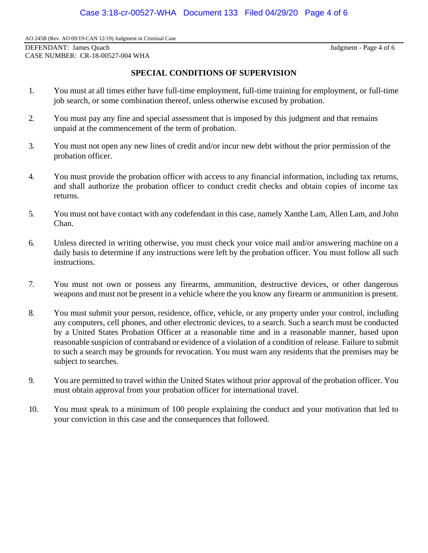DEFENDANT: James Quach Judgment - Page 4 of 6 CASE NUMBER: CR-18-00527-004 WHA

# **SPECIAL CONDITIONS OF SUPERVISION**

- 1. You must at all times either have full-time employment, full-time training for employment, or full-time job search, or some combination thereof, unless otherwise excused by probation.
- 2. You must pay any fine and special assessment that is imposed by this judgment and that remains unpaid at the commencement of the term of probation.
- 3. You must not open any new lines of credit and/or incur new debt without the prior permission of the probation officer.
- 4. You must provide the probation officer with access to any financial information, including tax returns, and shall authorize the probation officer to conduct credit checks and obtain copies of income tax returns.
- 5. You must not have contact with any codefendant in this case, namely Xanthe Lam, Allen Lam, and John Chan.
- 6. Unless directed in writing otherwise, you must check your voice mail and/or answering machine on a daily basis to determine if any instructions were left by the probation officer. You must follow all such instructions.
- 7. You must not own or possess any firearms, ammunition, destructive devices, or other dangerous weapons and must not be present in a vehicle where the you know any firearm or ammunition is present.
- 8. You must submit your person, residence, office, vehicle, or any property under your control, including any computers, cell phones, and other electronic devices, to a search. Such a search must be conducted by a United States Probation Officer at a reasonable time and in a reasonable manner, based upon reasonable suspicion of contraband or evidence of a violation of a condition of release. Failure to submit to such a search may be grounds for revocation. You must warn any residents that the premises may be subject to searches.
- 9. You are permitted to travel within the United States without prior approval of the probation officer. You must obtain approval from your probation officer for international travel.
- 10. You must speak to a minimum of 100 people explaining the conduct and your motivation that led to your conviction in this case and the consequences that followed.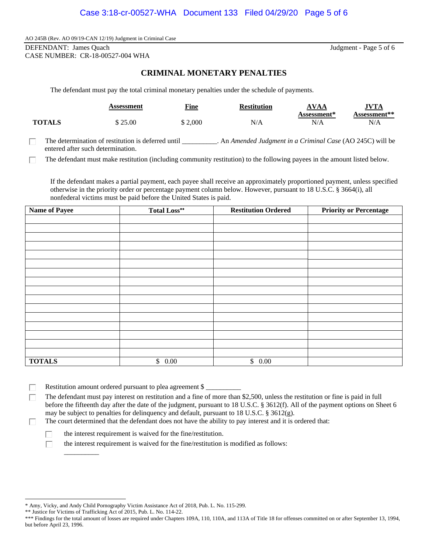DEFENDANT: James Quach Judgment - Page 5 of 6 CASE NUMBER: CR-18-00527-004 WHA

# **CRIMINAL MONETARY PENALTIES**

The defendant must pay the total criminal monetary penalties under the schedule of payments.

|               | Assessment | <b>Fine</b> | <b>Restitution</b> | AVAA               | <b>JVTA</b>  |
|---------------|------------|-------------|--------------------|--------------------|--------------|
|               |            |             |                    | <b>Assessment*</b> | Assessment** |
| <b>TOTALS</b> | \$25.00    | \$2,000     | N/A                | N/A                | N/A          |

The determination of restitution is deferred until \_\_\_\_\_\_\_\_\_\_. An *Amended Judgment in a Criminal Case* (AO 245C) will be п entered after such determination.

The defendant must make restitution (including community restitution) to the following payees in the amount listed below. п

If the defendant makes a partial payment, each payee shall receive an approximately proportioned payment, unless specified otherwise in the priority order or percentage payment column below. However, pursuant to 18 U.S.C. § 3664(i), all nonfederal victims must be paid before the United States is paid.

| <b>Name of Payee</b> | <b>Total Loss**</b> | <b>Restitution Ordered</b> | <b>Priority or Percentage</b> |
|----------------------|---------------------|----------------------------|-------------------------------|
|                      |                     |                            |                               |
|                      |                     |                            |                               |
|                      |                     |                            |                               |
|                      |                     |                            |                               |
|                      |                     |                            |                               |
|                      |                     |                            |                               |
|                      |                     |                            |                               |
|                      |                     |                            |                               |
|                      |                     |                            |                               |
|                      |                     |                            |                               |
|                      |                     |                            |                               |
|                      |                     |                            |                               |
|                      |                     |                            |                               |
|                      |                     |                            |                               |
|                      |                     |                            |                               |
|                      |                     |                            |                               |
| <b>TOTALS</b>        | \$0.00              | \$0.00                     |                               |

Restitution amount ordered pursuant to plea agreement \$ п

The defendant must pay interest on restitution and a fine of more than \$2,500, unless the restitution or fine is paid in full П. before the fifteenth day after the date of the judgment, pursuant to 18 U.S.C. § 3612(f). All of the payment options on Sheet 6 may be subject to penalties for delinquency and default, pursuant to 18 U.S.C. § 3612(g).

The court determined that the defendant does not have the ability to pay interest and it is ordered that: п

 $\Box$  the interest requirement is waived for the fine/restitution.

the interest requirement is waived for the fine/restitution is modified as follows:

 $\overline{\phantom{a}}$ 

п

<sup>\*</sup> Amy, Vicky, and Andy Child Pornography Victim Assistance Act of 2018, Pub. L. No. 115-299.

<sup>\*\*</sup> Justice for Victims of Trafficking Act of 2015, Pub. L. No. 114-22.

<sup>\*\*\*</sup> Findings for the total amount of losses are required under Chapters 109A, 110, 110A, and 113A of Title 18 for offenses committed on or after September 13, 1994, but before April 23, 1996.